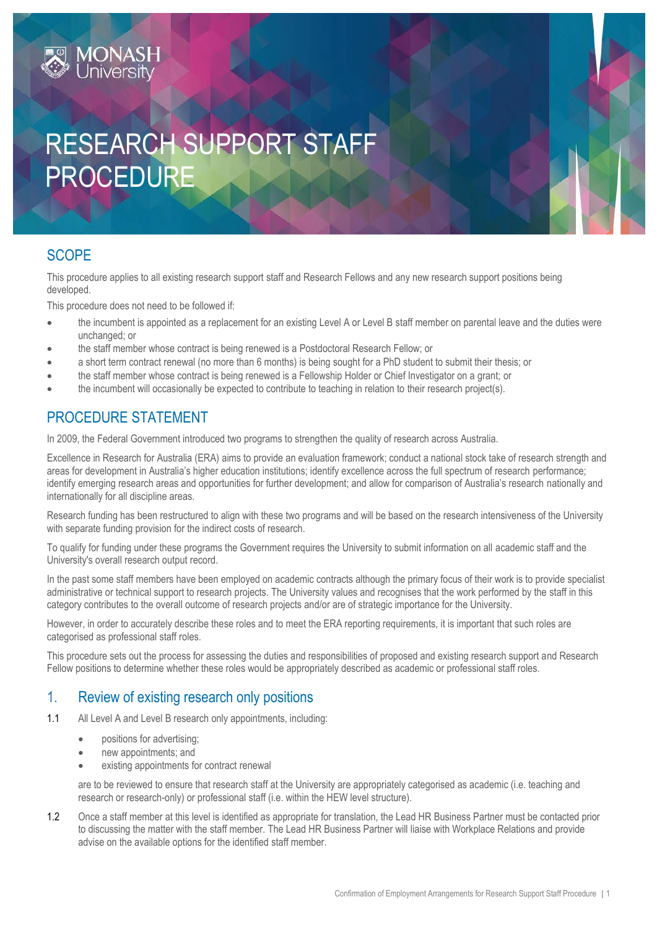# RESEARCH SUPPORT STAFF PROCEDURE

## **SCOPE**

This procedure applies to all existing research support staff and Research Fellows and any new research support positions being developed.

This procedure does not need to be followed if:

**MONASH**<br>Universitv

- the incumbent is appointed as a replacement for an existing Level A or Level B staff member on parental leave and the duties were unchanged; or
- the staff member whose contract is being renewed is a Postdoctoral Research Fellow; or
- a short term contract renewal (no more than 6 months) is being sought for a PhD student to submit their thesis; or
- the staff member whose contract is being renewed is a Fellowship Holder or Chief Investigator on a grant; or
- the incumbent will occasionally be expected to contribute to teaching in relation to their research project(s).

### PROCEDURE STATEMENT

In 2009, the Federal Government introduced two programs to strengthen the quality of research across Australia.

Excellence in Research for Australia (ERA) aims to provide an evaluation framework; conduct a national stock take of research strength and areas for development in Australia's higher education institutions; identify excellence across the full spectrum of research performance; identify emerging research areas and opportunities for further development; and allow for comparison of Australia's research nationally and internationally for all discipline areas.

Research funding has been restructured to align with these two programs and will be based on the research intensiveness of the University with separate funding provision for the indirect costs of research.

To qualify for funding under these programs the Government requires the University to submit information on all academic staff and the University's overall research output record.

In the past some staff members have been employed on academic contracts although the primary focus of their work is to provide specialist administrative or technical support to research projects. The University values and recognises that the work performed by the staff in this category contributes to the overall outcome of research projects and/or are of strategic importance for the University.

However, in order to accurately describe these roles and to meet the ERA reporting requirements, it is important that such roles are categorised as professional staff roles.

This procedure sets out the process for assessing the duties and responsibilities of proposed and existing research support and Research Fellow positions to determine whether these roles would be appropriately described as academic or professional staff roles.

#### 1. Review of existing research only positions

- 1.1 All Level A and Level B research only appointments, including:
	- positions for advertising;
	- new appointments; and
	- existing appointments for contract renewal

are to be reviewed to ensure that research staff at the University are appropriately categorised as academic (i.e. teaching and research or research-only) or professional staff (i.e. within the HEW level structure).

1.2 Once a staff member at this level is identified as appropriate for translation, the Lead HR Business Partner must be contacted prior to discussing the matter with the staff member. The Lead HR Business Partner will liaise with Workplace Relations and provide advise on the available options for the identified staff member.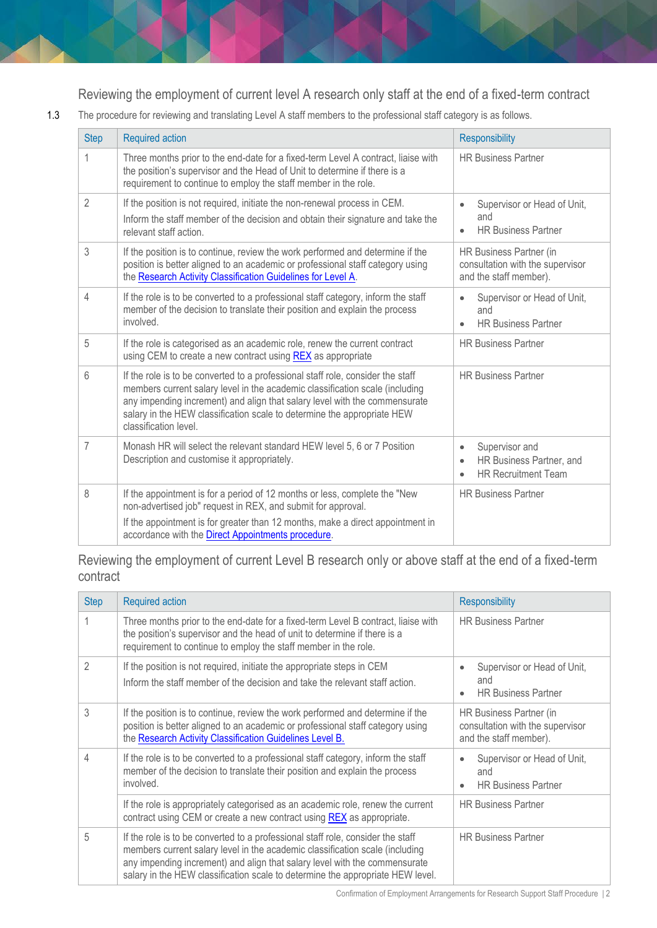Reviewing the employment of current level A research only staff at the end of a fixed-term contract

1.3 The procedure for reviewing and translating Level A staff members to the professional staff category is as follows.

| <b>Step</b> | <b>Required action</b>                                                                                                                                                                                                                                                                                                                            | <b>Responsibility</b>                                                                              |
|-------------|---------------------------------------------------------------------------------------------------------------------------------------------------------------------------------------------------------------------------------------------------------------------------------------------------------------------------------------------------|----------------------------------------------------------------------------------------------------|
| 1           | Three months prior to the end-date for a fixed-term Level A contract, liaise with<br>the position's supervisor and the Head of Unit to determine if there is a<br>requirement to continue to employ the staff member in the role.                                                                                                                 | <b>HR Business Partner</b>                                                                         |
| 2           | If the position is not required, initiate the non-renewal process in CEM.<br>Inform the staff member of the decision and obtain their signature and take the<br>relevant staff action.                                                                                                                                                            | Supervisor or Head of Unit,<br>and<br><b>HR Business Partner</b><br>$\bullet$                      |
| 3           | If the position is to continue, review the work performed and determine if the<br>position is better aligned to an academic or professional staff category using<br>the Research Activity Classification Guidelines for Level A.                                                                                                                  | HR Business Partner (in<br>consultation with the supervisor<br>and the staff member).              |
| 4           | If the role is to be converted to a professional staff category, inform the staff<br>member of the decision to translate their position and explain the process<br>involved.                                                                                                                                                                      | Supervisor or Head of Unit,<br>$\bullet$<br>and<br><b>HR Business Partner</b><br>$\bullet$         |
| 5           | If the role is categorised as an academic role, renew the current contract<br>using CEM to create a new contract using REX as appropriate                                                                                                                                                                                                         | <b>HR Business Partner</b>                                                                         |
| 6           | If the role is to be converted to a professional staff role, consider the staff<br>members current salary level in the academic classification scale (including<br>any impending increment) and align that salary level with the commensurate<br>salary in the HEW classification scale to determine the appropriate HEW<br>classification level. | <b>HR Business Partner</b>                                                                         |
| 7           | Monash HR will select the relevant standard HEW level 5, 6 or 7 Position<br>Description and customise it appropriately.                                                                                                                                                                                                                           | Supervisor and<br>$\bullet$<br>HR Business Partner, and<br><b>HR Recruitment Team</b><br>$\bullet$ |
| 8           | If the appointment is for a period of 12 months or less, complete the "New<br>non-advertised job" request in REX, and submit for approval.                                                                                                                                                                                                        | <b>HR Business Partner</b>                                                                         |
|             | If the appointment is for greater than 12 months, make a direct appointment in<br>accordance with the Direct Appointments procedure.                                                                                                                                                                                                              |                                                                                                    |

Reviewing the employment of current Level B research only or above staff at the end of a fixed-term contract

| <b>Step</b>              | <b>Required action</b>                                                                                                                                                                                                                                                                                                          | <b>Responsibility</b>                                                                 |
|--------------------------|---------------------------------------------------------------------------------------------------------------------------------------------------------------------------------------------------------------------------------------------------------------------------------------------------------------------------------|---------------------------------------------------------------------------------------|
|                          | Three months prior to the end-date for a fixed-term Level B contract, liaise with<br>the position's supervisor and the head of unit to determine if there is a<br>requirement to continue to employ the staff member in the role.                                                                                               | <b>HR Business Partner</b>                                                            |
| $\overline{\phantom{a}}$ | If the position is not required, initiate the appropriate steps in CEM<br>Inform the staff member of the decision and take the relevant staff action.                                                                                                                                                                           | Supervisor or Head of Unit,<br>and<br><b>HR Business Partner</b><br>$\bullet$         |
| 3                        | If the position is to continue, review the work performed and determine if the<br>position is better aligned to an academic or professional staff category using<br>the Research Activity Classification Guidelines Level B.                                                                                                    | HR Business Partner (in<br>consultation with the supervisor<br>and the staff member). |
| 4                        | If the role is to be converted to a professional staff category, inform the staff<br>member of the decision to translate their position and explain the process<br>involved.                                                                                                                                                    | Supervisor or Head of Unit,<br>and<br><b>HR Business Partner</b><br>$\bullet$         |
|                          | If the role is appropriately categorised as an academic role, renew the current<br>contract using CEM or create a new contract using REX as appropriate.                                                                                                                                                                        | <b>HR Business Partner</b>                                                            |
| 5                        | If the role is to be converted to a professional staff role, consider the staff<br>members current salary level in the academic classification scale (including<br>any impending increment) and align that salary level with the commensurate<br>salary in the HEW classification scale to determine the appropriate HEW level. | <b>HR Business Partner</b>                                                            |

Confirmation of Employment Arrangements for Research Support Staff Procedure | 2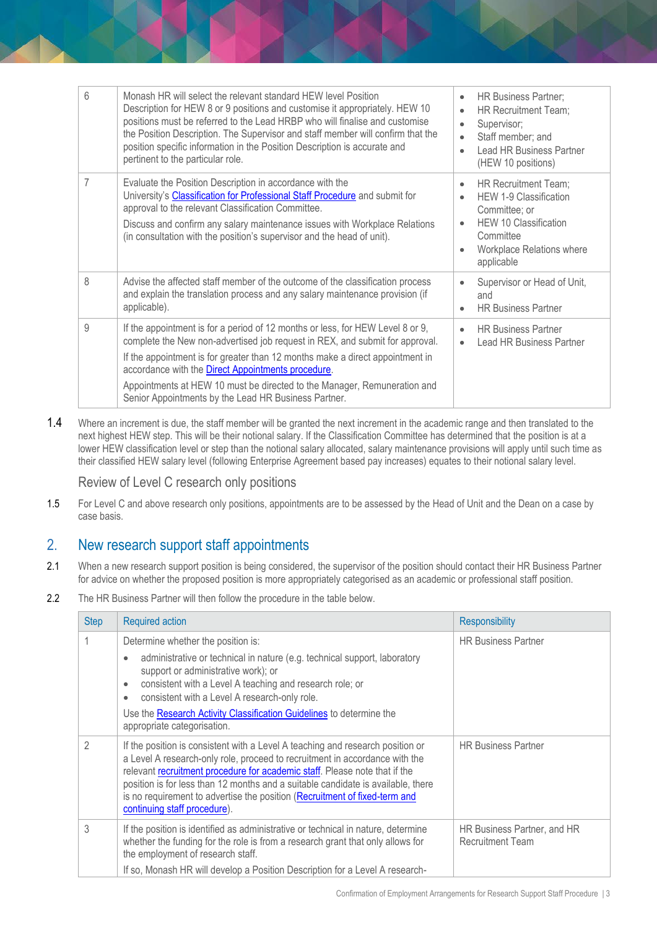| 6 | Monash HR will select the relevant standard HEW level Position<br>Description for HEW 8 or 9 positions and customise it appropriately. HEW 10<br>positions must be referred to the Lead HRBP who will finalise and customise<br>the Position Description. The Supervisor and staff member will confirm that the<br>position specific information in the Position Description is accurate and<br>pertinent to the particular role.                 | <b>HR Business Partner;</b><br>$\bullet$<br><b>HR Recruitment Team:</b><br>$\bullet$<br>Supervisor;<br>$\bullet$<br>Staff member; and<br>$\bullet$<br><b>Lead HR Business Partner</b><br>$\bullet$<br>(HEW 10 positions) |
|---|---------------------------------------------------------------------------------------------------------------------------------------------------------------------------------------------------------------------------------------------------------------------------------------------------------------------------------------------------------------------------------------------------------------------------------------------------|--------------------------------------------------------------------------------------------------------------------------------------------------------------------------------------------------------------------------|
| 7 | Evaluate the Position Description in accordance with the<br>University's Classification for Professional Staff Procedure and submit for<br>approval to the relevant Classification Committee.<br>Discuss and confirm any salary maintenance issues with Workplace Relations<br>(in consultation with the position's supervisor and the head of unit).                                                                                             | HR Recruitment Team;<br>$\bullet$<br><b>HEW 1-9 Classification</b><br>$\bullet$<br>Committee; or<br><b>HEW 10 Classification</b><br>$\bullet$<br>Committee<br>Workplace Relations where<br>$\bullet$<br>applicable       |
| 8 | Advise the affected staff member of the outcome of the classification process<br>and explain the translation process and any salary maintenance provision (if<br>applicable).                                                                                                                                                                                                                                                                     | Supervisor or Head of Unit,<br>$\bullet$<br>and<br><b>HR Business Partner</b><br>$\bullet$                                                                                                                               |
| 9 | If the appointment is for a period of 12 months or less, for HEW Level 8 or 9,<br>complete the New non-advertised job request in REX, and submit for approval.<br>If the appointment is for greater than 12 months make a direct appointment in<br>accordance with the <b>Direct Appointments procedure</b> .<br>Appointments at HEW 10 must be directed to the Manager, Remuneration and<br>Senior Appointments by the Lead HR Business Partner. | <b>HR Business Partner</b><br>$\bullet$<br>Lead HR Business Partner<br>$\bullet$                                                                                                                                         |

1.4 Where an increment is due, the staff member will be granted the next increment in the academic range and then translated to the next highest HEW step. This will be their notional salary. If the Classification Committee has determined that the position is at a lower HEW classification level or step than the notional salary allocated, salary maintenance provisions will apply until such time as their classified HEW salary level (following Enterprise Agreement based pay increases) equates to their notional salary level.

Review of Level C research only positions

1.5 For Level C and above research only positions, appointments are to be assessed by the Head of Unit and the Dean on a case by case basis.

#### 2. New research support staff appointments

- 2.1 When a new research support position is being considered, the supervisor of the position should contact their HR Business Partner for advice on whether the proposed position is more appropriately categorised as an academic or professional staff position.
- 2.2 The HR Business Partner will then follow the procedure in the table below.

| <b>Step</b> | <b>Required action</b>                                                                                                                                                                                                                                                                                                                                                                                                                        | <b>Responsibility</b>                                  |  |
|-------------|-----------------------------------------------------------------------------------------------------------------------------------------------------------------------------------------------------------------------------------------------------------------------------------------------------------------------------------------------------------------------------------------------------------------------------------------------|--------------------------------------------------------|--|
|             | Determine whether the position is:<br>administrative or technical in nature (e.g. technical support, laboratory<br>support or administrative work); or<br>consistent with a Level A teaching and research role; or<br>consistent with a Level A research-only role.<br>$\bullet$<br>Use the Research Activity Classification Guidelines to determine the<br>appropriate categorisation.                                                       | <b>HR Business Partner</b>                             |  |
| 2           | If the position is consistent with a Level A teaching and research position or<br>a Level A research-only role, proceed to recruitment in accordance with the<br>relevant recruitment procedure for academic staff. Please note that if the<br>position is for less than 12 months and a suitable candidate is available, there<br>is no requirement to advertise the position (Recruitment of fixed-term and<br>continuing staff procedure). | <b>HR Business Partner</b>                             |  |
| 3           | If the position is identified as administrative or technical in nature, determine<br>whether the funding for the role is from a research grant that only allows for<br>the employment of research staff.<br>If so, Monash HR will develop a Position Description for a Level A research-                                                                                                                                                      | HR Business Partner, and HR<br><b>Recruitment Team</b> |  |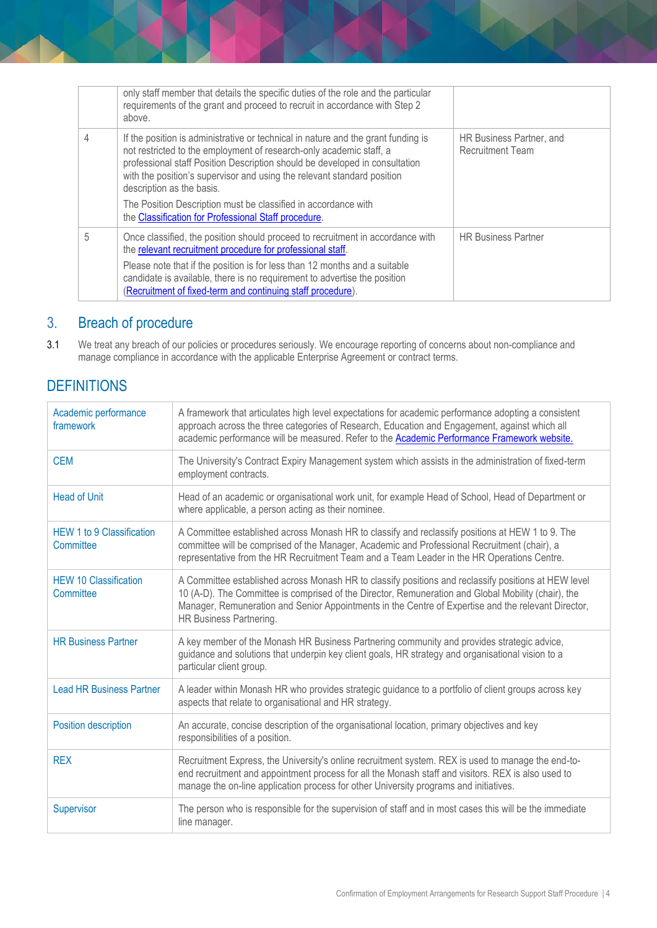|   | only staff member that details the specific duties of the role and the particular<br>requirements of the grant and proceed to recruit in accordance with Step 2<br>above.                                                                                                                                                                                                                                                                                                 |                                                     |
|---|---------------------------------------------------------------------------------------------------------------------------------------------------------------------------------------------------------------------------------------------------------------------------------------------------------------------------------------------------------------------------------------------------------------------------------------------------------------------------|-----------------------------------------------------|
| 4 | If the position is administrative or technical in nature and the grant funding is<br>not restricted to the employment of research-only academic staff, a<br>professional staff Position Description should be developed in consultation<br>with the position's supervisor and using the relevant standard position<br>description as the basis.<br>The Position Description must be classified in accordance with<br>the Classification for Professional Staff procedure. | HR Business Partner, and<br><b>Recruitment Team</b> |
| 5 | Once classified, the position should proceed to recruitment in accordance with<br>the relevant recruitment procedure for professional staff.<br>Please note that if the position is for less than 12 months and a suitable<br>candidate is available, there is no requirement to advertise the position<br>(Recruitment of fixed-term and continuing staff procedure).                                                                                                    | <b>HR Business Partner</b>                          |

# 3. Breach of procedure

3.1 We treat any breach of our policies or procedures seriously. We encourage reporting of concerns about non-compliance and manage compliance in accordance with the applicable Enterprise Agreement or contract terms.

## **DEFINITIONS**

| Academic performance<br>framework             | A framework that articulates high level expectations for academic performance adopting a consistent<br>approach across the three categories of Research, Education and Engagement, against which all<br>academic performance will be measured. Refer to the Academic Performance Framework website.                                           |
|-----------------------------------------------|-----------------------------------------------------------------------------------------------------------------------------------------------------------------------------------------------------------------------------------------------------------------------------------------------------------------------------------------------|
| <b>CEM</b>                                    | The University's Contract Expiry Management system which assists in the administration of fixed-term<br>employment contracts.                                                                                                                                                                                                                 |
| <b>Head of Unit</b>                           | Head of an academic or organisational work unit, for example Head of School, Head of Department or<br>where applicable, a person acting as their nominee.                                                                                                                                                                                     |
| <b>HEW 1 to 9 Classification</b><br>Committee | A Committee established across Monash HR to classify and reclassify positions at HEW 1 to 9. The<br>committee will be comprised of the Manager, Academic and Professional Recruitment (chair), a<br>representative from the HR Recruitment Team and a Team Leader in the HR Operations Centre.                                                |
| <b>HEW 10 Classification</b><br>Committee     | A Committee established across Monash HR to classify positions and reclassify positions at HEW level<br>10 (A-D). The Committee is comprised of the Director, Remuneration and Global Mobility (chair), the<br>Manager, Remuneration and Senior Appointments in the Centre of Expertise and the relevant Director,<br>HR Business Partnering. |
| <b>HR Business Partner</b>                    | A key member of the Monash HR Business Partnering community and provides strategic advice,<br>guidance and solutions that underpin key client goals, HR strategy and organisational vision to a<br>particular client group.                                                                                                                   |
| <b>Lead HR Business Partner</b>               | A leader within Monash HR who provides strategic guidance to a portfolio of client groups across key<br>aspects that relate to organisational and HR strategy.                                                                                                                                                                                |
| Position description                          | An accurate, concise description of the organisational location, primary objectives and key<br>responsibilities of a position.                                                                                                                                                                                                                |
| <b>REX</b>                                    | Recruitment Express, the University's online recruitment system. REX is used to manage the end-to-<br>end recruitment and appointment process for all the Monash staff and visitors. REX is also used to<br>manage the on-line application process for other University programs and initiatives.                                             |
| Supervisor                                    | The person who is responsible for the supervision of staff and in most cases this will be the immediate<br>line manager.                                                                                                                                                                                                                      |